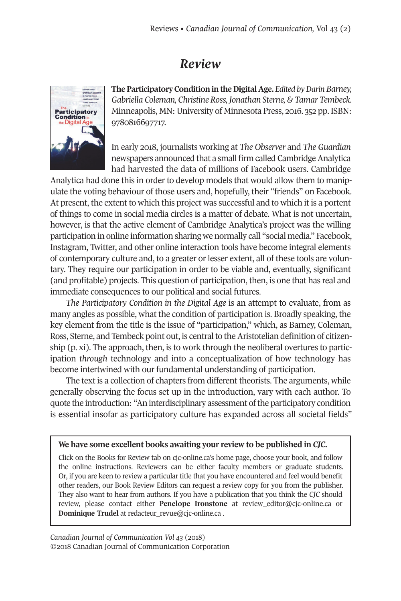## *Review*



**The Participatory Condition in the Digital Age.** *Edited by Darin Barney, Gabriella Coleman, Christine Ross,Jonathan Sterne, & Tamar Tembeck.* Minneapolis, MN: University of Minnesota Press, 2016. 352 pp. ISBN: 9780816697717.

In early 2018, journalists working at *The Observer* and *The Guardian* newspapers announced that a small firm called Cambridge Analytica had harvested the data of millions of Facebook users. Cambridge

Analytica had done this in order to develop models that would allow them to manipulate the voting behaviour of those users and, hopefully, their "friends" on Facebook. At present, the extent to which this project was successful and to which it is a portent of things to come in social media circles is a matter of debate. What is not uncertain, however, is that the active element of Cambridge Analytica's project was the willing participation in online information sharing we normally call "social media." Facebook, Instagram, Twitter, and other online interaction tools have become integral elements of contemporary culture and, to a greater or lesser extent, all of these tools are voluntary. They require our participation in order to be viable and, eventually, significant (and profitable) projects. This question of participation, then, is one that has real and immediate consequences to our political and social futures.

*The Participatory Condition in the Digital Age* is an attempt to evaluate, from as many angles as possible, what the condition of participation is. Broadly speaking, the key element from the title is the issue of "participation," which, as Barney, Coleman, Ross, Sterne, and Tembeck point out, is central to the Aristotelian definition of citizenship (p. xi). The approach, then, is to work through the neoliberal overtures to participation *through* technology and into a conceptualization of how technology has become intertwined with our fundamental understanding of participation.

The text is a collection of chapters from different theorists. The arguments, while generally observing the focus set up in the introduction, vary with each author. To quote the introduction: "An interdisciplinary assessment of the participatory condition is essential insofar as participatory culture has expanded across all societal fields"

## **We have some excellent books awaiting your review to be published in** *CJC.*

Click on the Books for Review tab on cjc-online.ca's home page, choose your book, and follow the online instructions. Reviewers can be either faculty members or graduate students. Or, if you are keen to review a particular title that you have encountered and feel would benefit other readers, our Book Review Editors can request a review copy for you from the publisher. They also want to hear from authors. If you have a publication that you think the *CJC* should review, please contact either **Penelope Ironstone** at [review\\_editor@cjc-online.ca](mailto:review_editor@cjc-online.ca) or **Dominique Trudel** at [redacteur\\_revue@cjc-online.ca](mailto:redacteur_revue@cjc-online.ca) .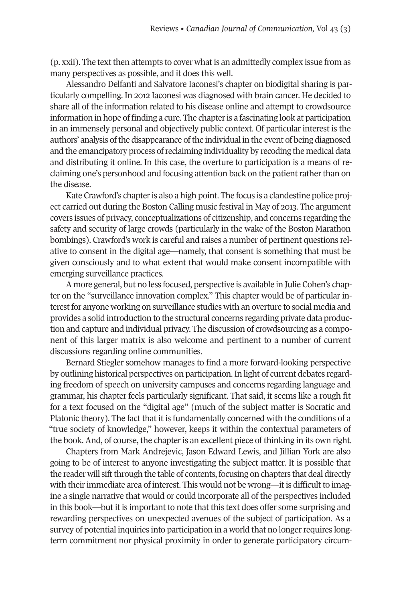$(p, xxi)$ . The text then attempts to cover what is an admittedly complex issue from as many perspectives as possible, and it does this well.

Alessandro Delfanti and Salvatore Iaconesi's chapter on biodigital sharing is particularly compelling. In 2012 Iaconesi was diagnosed with brain cancer. He decided to share all of the information related to his disease online and attempt to crowdsource information in hope of finding a cure. The chapteris a fascinating look at participation in an immensely personal and objectively public context. Of particular interest is the authors' analysis of the disappearance of the individual in the event of being diagnosed and the emancipatory process ofreclaiming individuality by recoding the medical data and distributing it online. In this case, the overture to participation is a means of reclaiming one's personhood and focusing attention back on the patient rather than on the disease.

Kate Crawford's chapter is also a high point. The focus is a clandestine police project carried out during the Boston Calling music festival in May of 2013. The argument covers issues of privacy, conceptualizations of citizenship, and concerns regarding the safety and security of large crowds (particularly in the wake of the Boston Marathon bombings). Crawford's work is careful and raises a number of pertinent questions relative to consent in the digital age—namely, that consent is something that must be given consciously and to what extent that would make consent incompatible with emerging surveillance practices.

A more general, but no less focused, perspective is available in Julie Cohen's chapter on the "surveillance innovation complex." This chapter would be of particular interest for anyone working on surveillance studies with an overture to social media and provides a solid introduction to the structural concerns regarding private data production and capture and individual privacy. The discussion of crowdsourcing as a component of this larger matrix is also welcome and pertinent to a number of current discussions regarding online communities.

Bernard Stiegler somehow manages to find a more forward-looking perspective by outlining historical perspectives on participation. In light of current debates regarding freedom of speech on university campuses and concerns regarding language and grammar, his chapter feels particularly significant. That said, it seems like a rough fit for a text focused on the "digital age" (much of the subject matter is Socratic and Platonic theory). The fact that it is fundamentally concerned with the conditions of a "true society of knowledge," however, keeps it within the contextual parameters of the book. And, of course, the chapter is an excellent piece of thinking in its own right.

Chapters from Mark Andrejevic, Jason Edward Lewis, and Jillian York are also going to be of interest to anyone investigating the subject matter. It is possible that the reader will sift through the table of contents, focusing on chapters that deal directly with their immediate area of interest. This would not be wrong—it is difficult to imagine a single narrative that would or could incorporate all of the perspectives included in this book—but it is important to note that this text does offer some surprising and rewarding perspectives on unexpected avenues of the subject of participation. As a survey of potential inquiries into participation in a world that no longer requires longterm commitment nor physical proximity in order to generate participatory circum